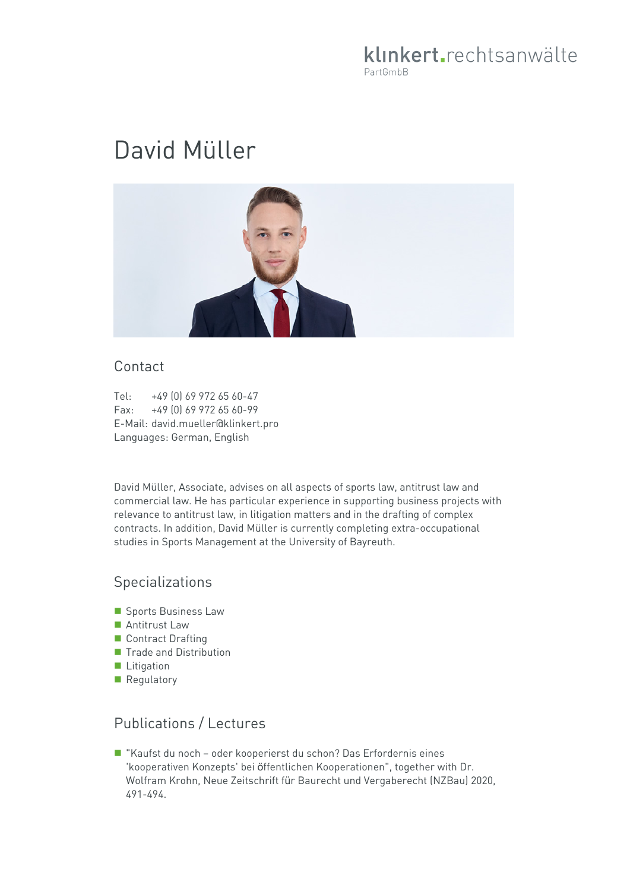# klinkert.rechtsanwälte PartGmbB

# David Müller



#### Contact

Tel: +49 (0) 69 972 65 60-47 Fax: +49 (0) 69 972 65 60-99 E-Mail: david.mueller@klinkert.pro Languages: German, English

David Müller, Associate, advises on all aspects of sports law, antitrust law and commercial law. He has particular experience in supporting business projects with relevance to antitrust law, in litigation matters and in the drafting of complex contracts. In addition, David Müller is currently completing extra-occupational studies in Sports Management at the University of Bayreuth.

### Specializations

- **Sports Business Law**
- Antitrust Law
- Contract Drafting
- **Trade and Distribution**
- **Litigation**
- Regulatory

# Publications / Lectures

 "Kaufst du noch – oder kooperierst du schon? Das Erfordernis eines 'kooperativen Konzepts' bei öffentlichen Kooperationen", together with Dr. Wolfram Krohn, Neue Zeitschrift für Baurecht und Vergaberecht (NZBau) 2020, 491-494.